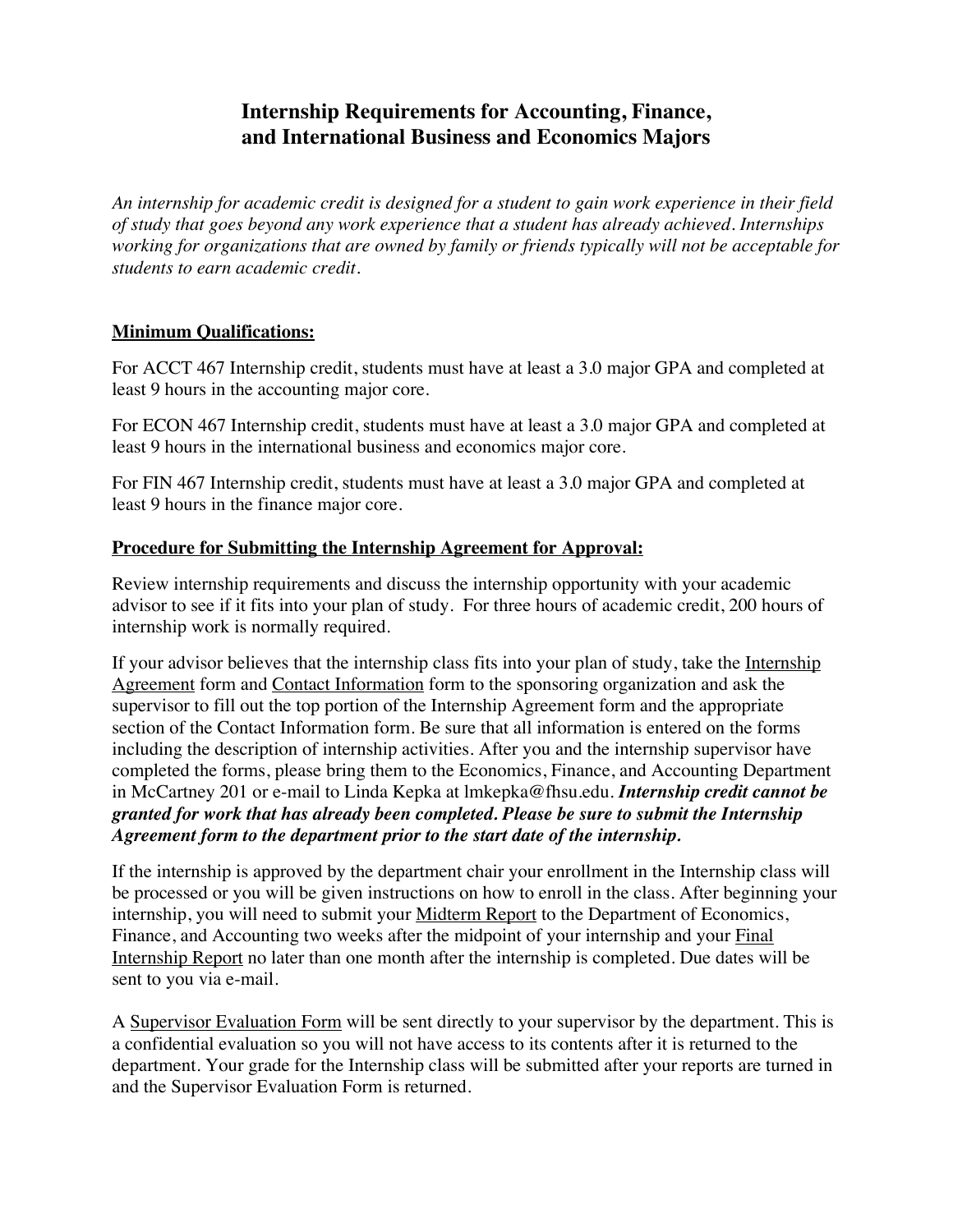## **Internship Requirements for Accounting, Finance, and International Business and Economics Majors**

*An internship for academic credit is designed for a student to gain work experience in their field of study that goes beyond any work experience that a student has already achieved. Internships working for organizations that are owned by family or friends typically will not be acceptable for students to earn academic credit.* 

### **Minimum Qualifications:**

For ACCT 467 Internship credit, students must have at least a 3.0 major GPA and completed at least 9 hours in the accounting major core.

For ECON 467 Internship credit, students must have at least a 3.0 major GPA and completed at least 9 hours in the international business and economics major core.

For FIN 467 Internship credit, students must have at least a 3.0 major GPA and completed at least 9 hours in the finance major core.

### **Procedure for Submitting the Internship Agreement for Approval:**

Review internship requirements and discuss the internship opportunity with your academic advisor to see if it fits into your plan of study. For three hours of academic credit, 200 hours of internship work is normally required.

If your advisor believes that the internship class fits into your plan of study, take the Internship Agreement form and Contact Information form to the sponsoring organization and ask the supervisor to fill out the top portion of the Internship Agreement form and the appropriate section of the Contact Information form. Be sure that all information is entered on the forms including the description of internship activities. After you and the internship supervisor have completed the forms, please bring them to the Economics, Finance, and Accounting Department in McCartney 201 or e-mail to Linda Kepka at lmkepka@fhsu.edu. *Internship credit cannot be granted for work that has already been completed. Please be sure to submit the Internship Agreement form to the department prior to the start date of the internship.*

If the internship is approved by the department chair your enrollment in the Internship class will be processed or you will be given instructions on how to enroll in the class. After beginning your internship, you will need to submit your Midterm Report to the Department of Economics, Finance, and Accounting two weeks after the midpoint of your internship and your Final Internship Report no later than one month after the internship is completed. Due dates will be sent to you via e-mail.

A Supervisor Evaluation Form will be sent directly to your supervisor by the department. This is a confidential evaluation so you will not have access to its contents after it is returned to the department. Your grade for the Internship class will be submitted after your reports are turned in and the Supervisor Evaluation Form is returned.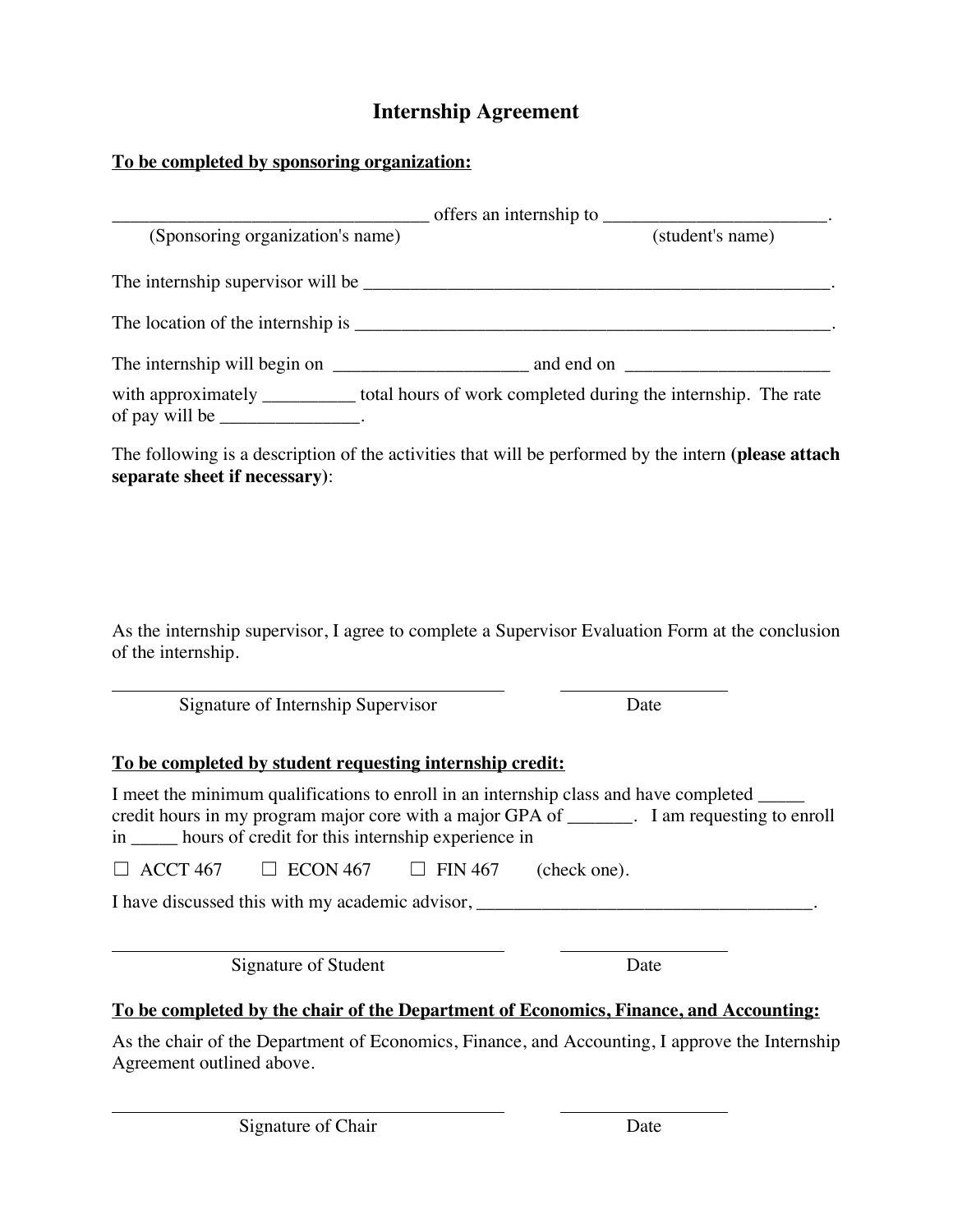# **Internship Agreement**

# **To be completed by sponsoring organization:**

|                                                                                                                                                                                                                                                            | $\frac{1}{\sqrt{1-\frac{1}{\sqrt{1-\frac{1}{\sqrt{1-\frac{1}{\sqrt{1-\frac{1}{\sqrt{1-\frac{1}{\sqrt{1-\frac{1}{\sqrt{1-\frac{1}{\sqrt{1-\frac{1}{\sqrt{1-\frac{1}{\sqrt{1-\frac{1}{\sqrt{1-\frac{1}{\sqrt{1-\frac{1}{\sqrt{1-\frac{1}{\sqrt{1-\frac{1}{\sqrt{1-\frac{1}{\sqrt{1-\frac{1}{\sqrt{1-\frac{1}{\sqrt{1-\frac{1}{\sqrt{1-\frac{1}{\sqrt{1-\frac{1}{\sqrt{1-\frac{1}{\sqrt{1-\frac{1}{\sqrt{1-\frac{1}{\sqrt{1-\frac{1$ |                  |
|------------------------------------------------------------------------------------------------------------------------------------------------------------------------------------------------------------------------------------------------------------|-----------------------------------------------------------------------------------------------------------------------------------------------------------------------------------------------------------------------------------------------------------------------------------------------------------------------------------------------------------------------------------------------------------------------------------|------------------|
| (Sponsoring organization's name)                                                                                                                                                                                                                           |                                                                                                                                                                                                                                                                                                                                                                                                                                   | (student's name) |
|                                                                                                                                                                                                                                                            |                                                                                                                                                                                                                                                                                                                                                                                                                                   |                  |
|                                                                                                                                                                                                                                                            |                                                                                                                                                                                                                                                                                                                                                                                                                                   |                  |
|                                                                                                                                                                                                                                                            |                                                                                                                                                                                                                                                                                                                                                                                                                                   |                  |
| with approximately __________ total hours of work completed during the internship. The rate<br>of pay will be _______________.                                                                                                                             |                                                                                                                                                                                                                                                                                                                                                                                                                                   |                  |
| The following is a description of the activities that will be performed by the intern (please attach<br>separate sheet if necessary):                                                                                                                      |                                                                                                                                                                                                                                                                                                                                                                                                                                   |                  |
|                                                                                                                                                                                                                                                            |                                                                                                                                                                                                                                                                                                                                                                                                                                   |                  |
|                                                                                                                                                                                                                                                            |                                                                                                                                                                                                                                                                                                                                                                                                                                   |                  |
| As the internship supervisor, I agree to complete a Supervisor Evaluation Form at the conclusion<br>of the internship.                                                                                                                                     |                                                                                                                                                                                                                                                                                                                                                                                                                                   |                  |
| Signature of Internship Supervisor                                                                                                                                                                                                                         | Date                                                                                                                                                                                                                                                                                                                                                                                                                              |                  |
| To be completed by student requesting internship credit:                                                                                                                                                                                                   |                                                                                                                                                                                                                                                                                                                                                                                                                                   |                  |
| I meet the minimum qualifications to enroll in an internship class and have completed _____<br>credit hours in my program major core with a major GPA of _______. I am requesting to enroll<br>in ______ hours of credit for this internship experience in |                                                                                                                                                                                                                                                                                                                                                                                                                                   |                  |
| $\Box$ ACCT 467 $\Box$ ECON 467 $\Box$ FIN 467 (check one).                                                                                                                                                                                                |                                                                                                                                                                                                                                                                                                                                                                                                                                   |                  |
| I have discussed this with my academic advisor,                                                                                                                                                                                                            |                                                                                                                                                                                                                                                                                                                                                                                                                                   |                  |
| Signature of Student                                                                                                                                                                                                                                       | Date                                                                                                                                                                                                                                                                                                                                                                                                                              |                  |
| To be completed by the chair of the Department of Economics, Finance, and Accounting:                                                                                                                                                                      |                                                                                                                                                                                                                                                                                                                                                                                                                                   |                  |

As the chair of the Department of Economics, Finance, and Accounting, I approve the Internship Agreement outlined above.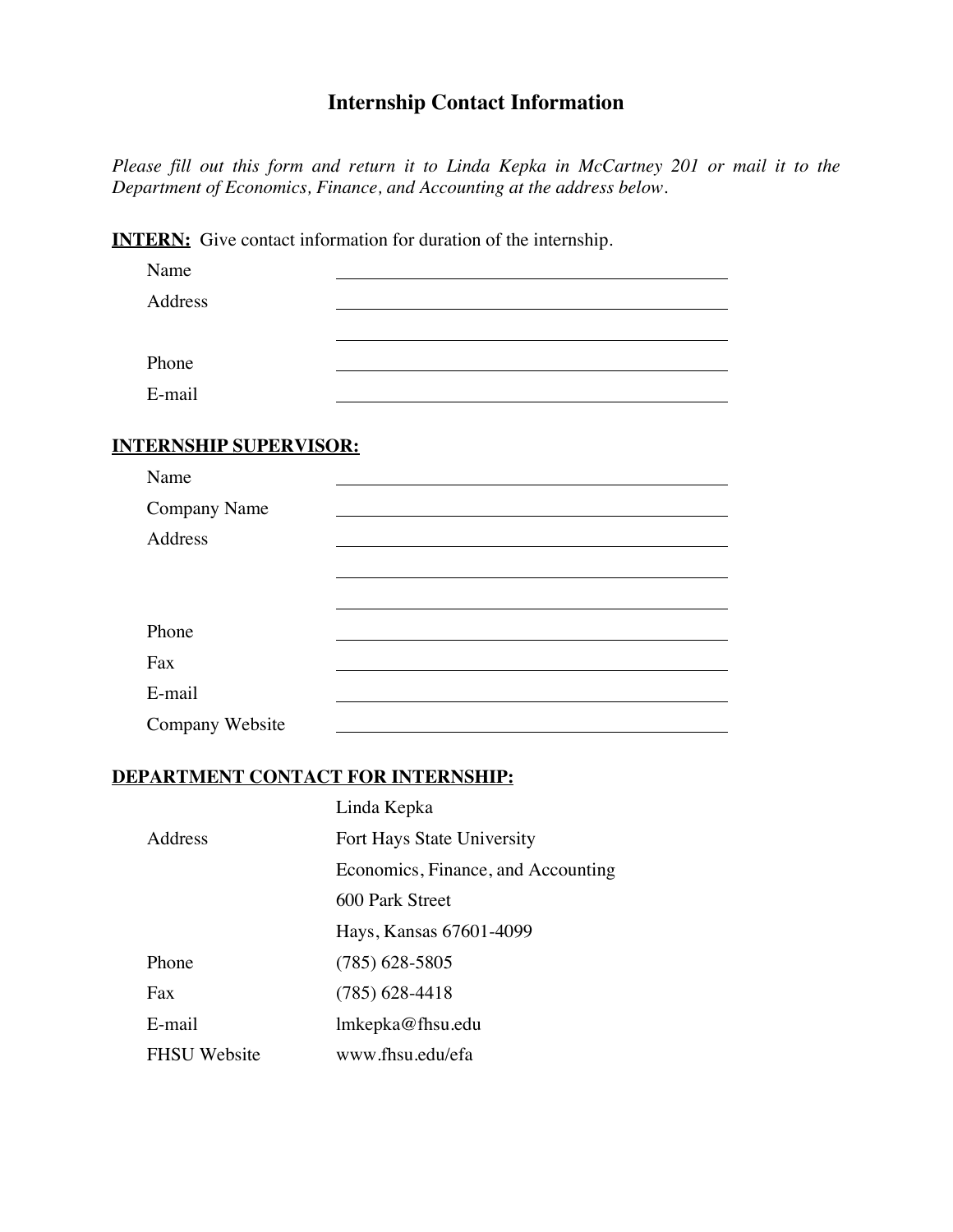## **Internship Contact Information**

*Please fill out this form and return it to Linda Kepka in McCartney 201 or mail it to the Department of Economics, Finance, and Accounting at the address below.*

|                               | <b>INTERN:</b> Give contact information for duration of the internship. |
|-------------------------------|-------------------------------------------------------------------------|
| Name                          |                                                                         |
| Address                       |                                                                         |
|                               |                                                                         |
| Phone                         |                                                                         |
| E-mail                        |                                                                         |
|                               |                                                                         |
| <b>INTERNSHIP SUPERVISOR:</b> |                                                                         |
| Name                          |                                                                         |
| <b>Company Name</b>           |                                                                         |
| Address                       |                                                                         |
|                               |                                                                         |
|                               |                                                                         |
| Phone                         |                                                                         |
| Fax                           |                                                                         |
| E-mail                        |                                                                         |
| Company Website               |                                                                         |

### **DEPARTMENT CONTACT FOR INTERNSHIP:**

|                     | Linda Kepka                        |
|---------------------|------------------------------------|
| Address             | Fort Hays State University         |
|                     | Economics, Finance, and Accounting |
|                     | 600 Park Street                    |
|                     | Hays, Kansas 67601-4099            |
| Phone               | $(785)$ 628-5805                   |
| Fax                 | $(785)$ 628-4418                   |
| E-mail              | lmkepka@fhsu.edu                   |
| <b>FHSU</b> Website | www.fhsu.edu/efa                   |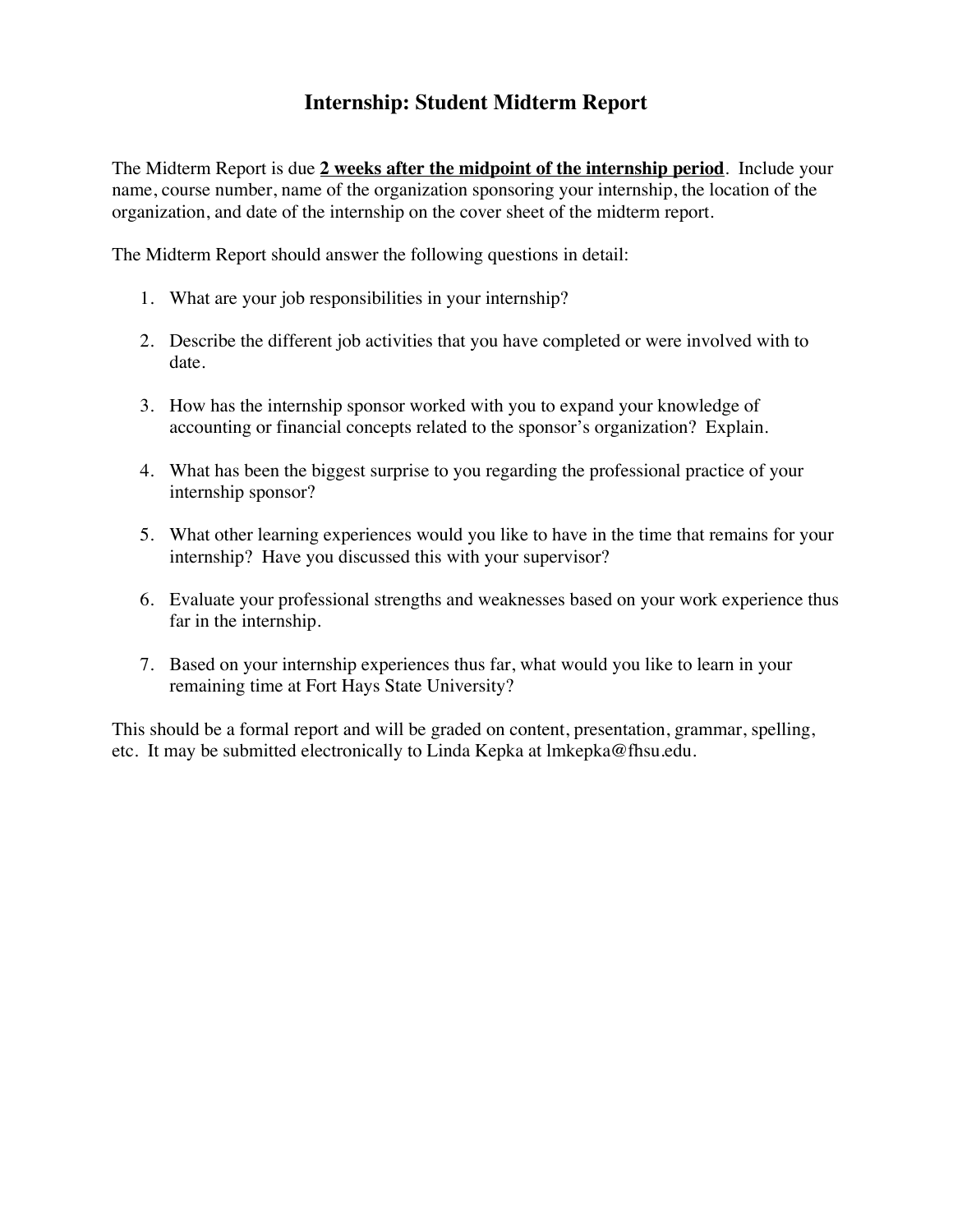## **Internship: Student Midterm Report**

The Midterm Report is due **2 weeks after the midpoint of the internship period**. Include your name, course number, name of the organization sponsoring your internship, the location of the organization, and date of the internship on the cover sheet of the midterm report.

The Midterm Report should answer the following questions in detail:

- 1. What are your job responsibilities in your internship?
- 2. Describe the different job activities that you have completed or were involved with to date.
- 3. How has the internship sponsor worked with you to expand your knowledge of accounting or financial concepts related to the sponsor's organization? Explain.
- 4. What has been the biggest surprise to you regarding the professional practice of your internship sponsor?
- 5. What other learning experiences would you like to have in the time that remains for your internship? Have you discussed this with your supervisor?
- 6. Evaluate your professional strengths and weaknesses based on your work experience thus far in the internship.
- 7. Based on your internship experiences thus far, what would you like to learn in your remaining time at Fort Hays State University?

This should be a formal report and will be graded on content, presentation, grammar, spelling, etc. It may be submitted electronically to Linda Kepka at lmkepka@fhsu.edu.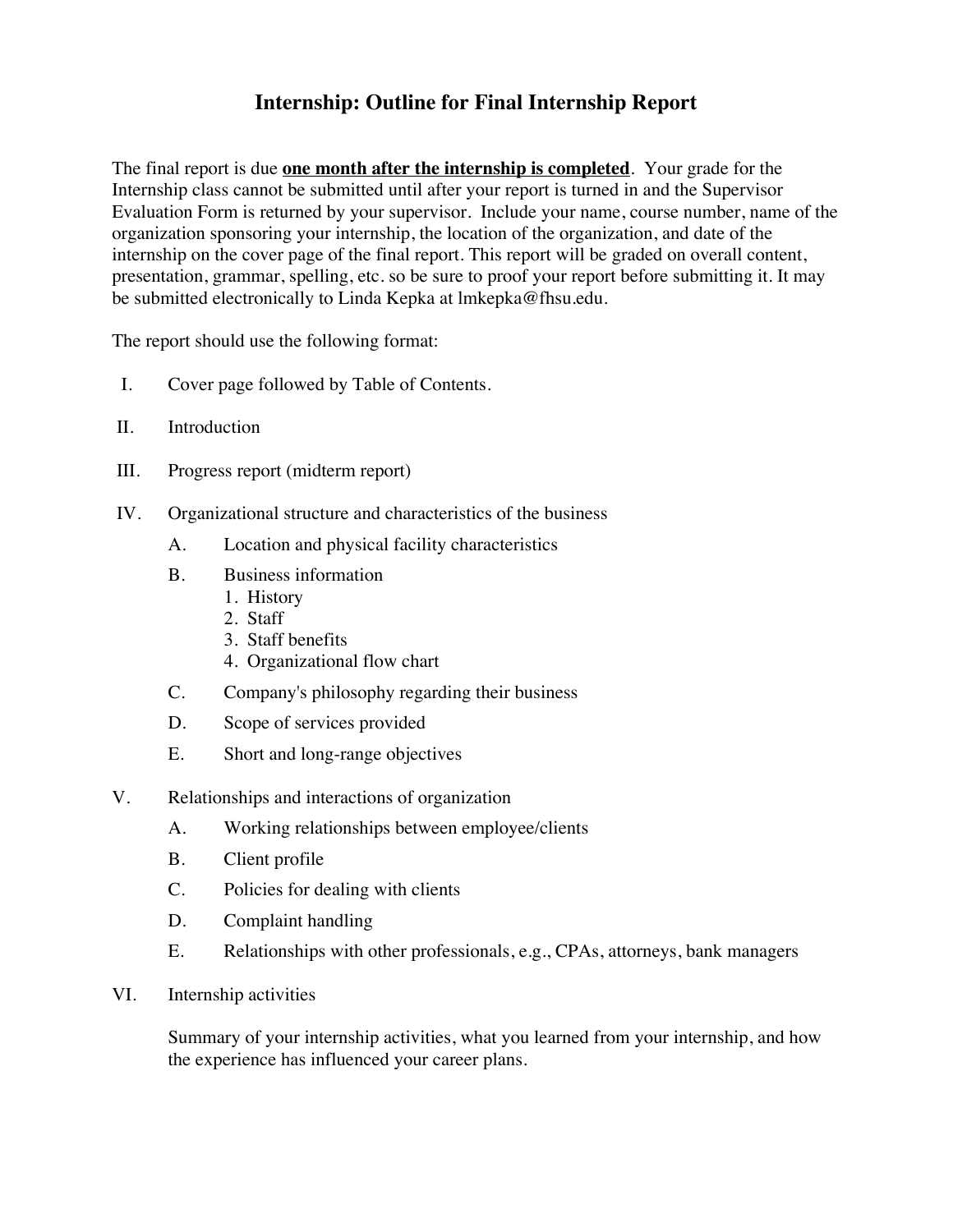## **Internship: Outline for Final Internship Report**

The final report is due **one month after the internship is completed**. Your grade for the Internship class cannot be submitted until after your report is turned in and the Supervisor Evaluation Form is returned by your supervisor. Include your name, course number, name of the organization sponsoring your internship, the location of the organization, and date of the internship on the cover page of the final report. This report will be graded on overall content, presentation, grammar, spelling, etc. so be sure to proof your report before submitting it. It may be submitted electronically to Linda Kepka at lmkepka@fhsu.edu.

The report should use the following format:

- I. Cover page followed by Table of Contents.
- II. Introduction
- III. Progress report (midterm report)
- IV. Organizational structure and characteristics of the business
	- A. Location and physical facility characteristics
	- B. Business information
		- 1. History
		- 2. Staff
		- 3. Staff benefits
		- 4. Organizational flow chart
	- C. Company's philosophy regarding their business
	- D. Scope of services provided
	- E. Short and long-range objectives
- V. Relationships and interactions of organization
	- A. Working relationships between employee/clients
	- B. Client profile
	- C. Policies for dealing with clients
	- D. Complaint handling
	- E. Relationships with other professionals, e.g., CPAs, attorneys, bank managers
- VI. Internship activities

Summary of your internship activities, what you learned from your internship, and how the experience has influenced your career plans.